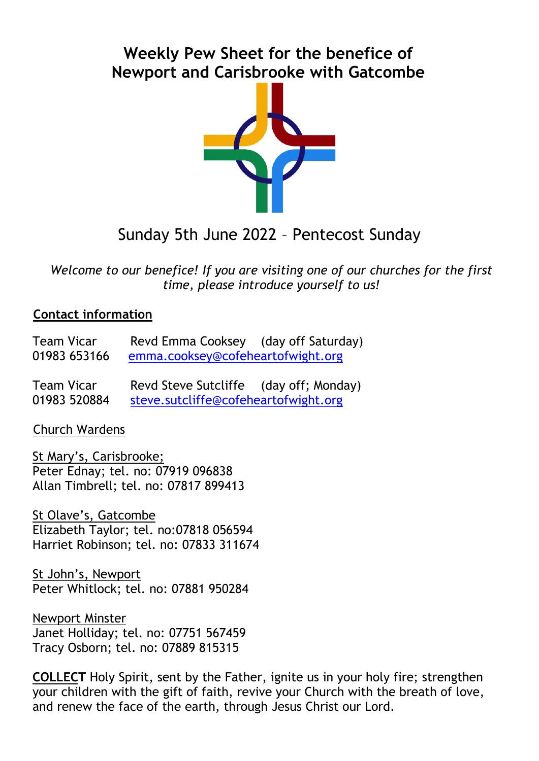# **Weekly Pew Sheet for the benefice of Newport and Carisbrooke with Gatcombe**



# Sunday 5th June 2022 – Pentecost Sunday

*Welcome to our benefice! If you are visiting one of our churches for the first time, please introduce yourself to us!*

#### **Contact information**

| <b>Team Vicar</b> | Revd Emma Cooksey (day off Saturday) |  |
|-------------------|--------------------------------------|--|
| 01983 653166      | emma.cooksey@cofeheartofwight.org    |  |

Team Vicar Revd Steve Sutcliffe (day off; Monday) 01983 520884 [steve.sutcliffe@cofeheartofwight.org](mailto:steve.sutcliffe@cofeheartofwight.org)

Church Wardens

St Mary's, Carisbrooke; Peter Ednay; tel. no: 07919 096838 Allan Timbrell; tel. no: 07817 899413

St Olave's, Gatcombe Elizabeth Taylor; tel. no:07818 056594 Harriet Robinson; tel. no: 07833 311674

St John's, Newport Peter Whitlock; tel. no: 07881 950284

Newport Minster Janet Holliday; tel. no: 07751 567459 Tracy Osborn; tel. no: 07889 815315

**COLLECT** Holy Spirit, sent by the Father, ignite us in your holy fire; strengthen your children with the gift of faith, revive your Church with the breath of love, and renew the face of the earth, through Jesus Christ our Lord.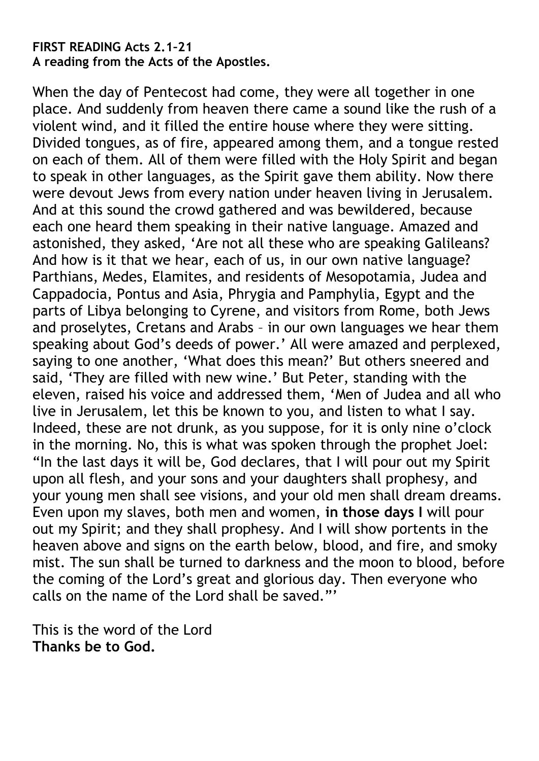#### **FIRST READING Acts 2.1–21 A reading from the Acts of the Apostles.**

When the day of Pentecost had come, they were all together in one place. And suddenly from heaven there came a sound like the rush of a violent wind, and it filled the entire house where they were sitting. Divided tongues, as of fire, appeared among them, and a tongue rested on each of them. All of them were filled with the Holy Spirit and began to speak in other languages, as the Spirit gave them ability. Now there were devout Jews from every nation under heaven living in Jerusalem. And at this sound the crowd gathered and was bewildered, because each one heard them speaking in their native language. Amazed and astonished, they asked, 'Are not all these who are speaking Galileans? And how is it that we hear, each of us, in our own native language? Parthians, Medes, Elamites, and residents of Mesopotamia, Judea and Cappadocia, Pontus and Asia, Phrygia and Pamphylia, Egypt and the parts of Libya belonging to Cyrene, and visitors from Rome, both Jews and proselytes, Cretans and Arabs – in our own languages we hear them speaking about God's deeds of power.' All were amazed and perplexed, saying to one another, 'What does this mean?' But others sneered and said, 'They are filled with new wine.' But Peter, standing with the eleven, raised his voice and addressed them, 'Men of Judea and all who live in Jerusalem, let this be known to you, and listen to what I say. Indeed, these are not drunk, as you suppose, for it is only nine o'clock in the morning. No, this is what was spoken through the prophet Joel: "In the last days it will be, God declares, that I will pour out my Spirit upon all flesh, and your sons and your daughters shall prophesy, and your young men shall see visions, and your old men shall dream dreams. Even upon my slaves, both men and women, **in those days I** will pour out my Spirit; and they shall prophesy. And I will show portents in the heaven above and signs on the earth below, blood, and fire, and smoky mist. The sun shall be turned to darkness and the moon to blood, before the coming of the Lord's great and glorious day. Then everyone who calls on the name of the Lord shall be saved."<sup>"</sup>

This is the word of the Lord **Thanks be to God.**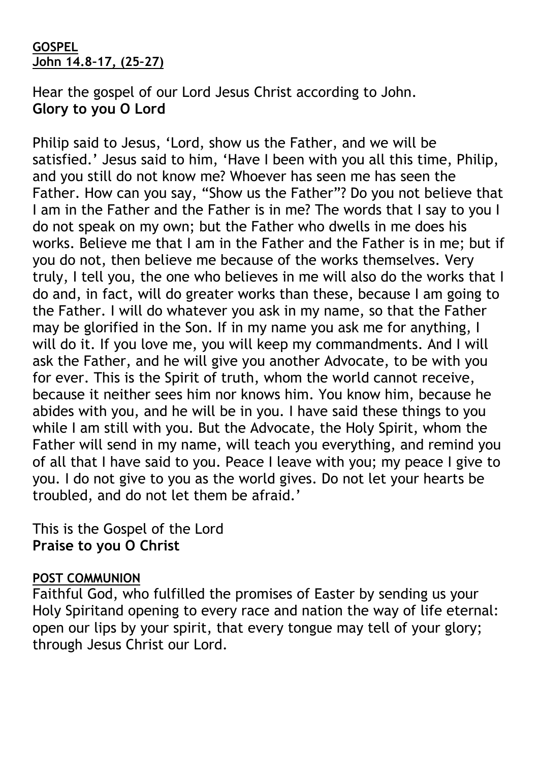#### **GOSPEL John 14.8–17, (25–27)**

Hear the gospel of our Lord Jesus Christ according to John. **Glory to you O Lord**

Philip said to Jesus, 'Lord, show us the Father, and we will be satisfied.' Jesus said to him, 'Have I been with you all this time, Philip, and you still do not know me? Whoever has seen me has seen the Father. How can you say, "Show us the Father"? Do you not believe that I am in the Father and the Father is in me? The words that I say to you I do not speak on my own; but the Father who dwells in me does his works. Believe me that I am in the Father and the Father is in me; but if you do not, then believe me because of the works themselves. Very truly, I tell you, the one who believes in me will also do the works that I do and, in fact, will do greater works than these, because I am going to the Father. I will do whatever you ask in my name, so that the Father may be glorified in the Son. If in my name you ask me for anything, I will do it. If you love me, you will keep my commandments. And I will ask the Father, and he will give you another Advocate, to be with you for ever. This is the Spirit of truth, whom the world cannot receive, because it neither sees him nor knows him. You know him, because he abides with you, and he will be in you. I have said these things to you while I am still with you. But the Advocate, the Holy Spirit, whom the Father will send in my name, will teach you everything, and remind you of all that I have said to you. Peace I leave with you; my peace I give to you. I do not give to you as the world gives. Do not let your hearts be troubled, and do not let them be afraid.'

This is the Gospel of the Lord **Praise to you O Christ**

## **POST COMMUNION**

Faithful God, who fulfilled the promises of Easter by sending us your Holy Spiritand opening to every race and nation the way of life eternal: open our lips by your spirit, that every tongue may tell of your glory; through Jesus Christ our Lord.